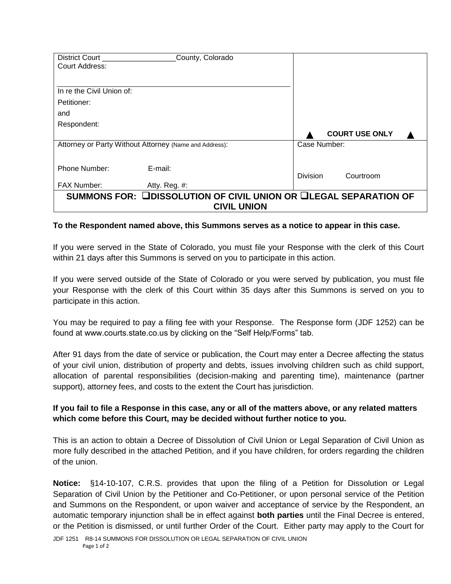| District Court                                                   | County, Colorado |                 |                       |
|------------------------------------------------------------------|------------------|-----------------|-----------------------|
| <b>Court Address:</b>                                            |                  |                 |                       |
|                                                                  |                  |                 |                       |
| In re the Civil Union of:                                        |                  |                 |                       |
| Petitioner:                                                      |                  |                 |                       |
| and                                                              |                  |                 |                       |
| Respondent:                                                      |                  |                 |                       |
|                                                                  |                  |                 | <b>COURT USE ONLY</b> |
| Attorney or Party Without Attorney (Name and Address):           |                  | Case Number:    |                       |
|                                                                  |                  |                 |                       |
| Phone Number:                                                    | E-mail:          |                 |                       |
|                                                                  |                  | <b>Division</b> | Courtroom             |
| <b>FAX Number:</b>                                               | Atty. Reg. #:    |                 |                       |
| SUMMONS FOR: LEDISSOLUTION OF CIVIL UNION OR LEGAL SEPARATION OF |                  |                 |                       |
| <b>CIVIL UNION</b>                                               |                  |                 |                       |

## **To the Respondent named above, this Summons serves as a notice to appear in this case.**

If you were served in the State of Colorado, you must file your Response with the clerk of this Court within 21 days after this Summons is served on you to participate in this action.

If you were served outside of the State of Colorado or you were served by publication, you must file your Response with the clerk of this Court within 35 days after this Summons is served on you to participate in this action.

You may be required to pay a filing fee with your Response. The Response form (JDF 1252) can be found at www.courts.state.co.us by clicking on the "Self Help/Forms" tab.

After 91 days from the date of service or publication, the Court may enter a Decree affecting the status of your civil union, distribution of property and debts, issues involving children such as child support, allocation of parental responsibilities (decision-making and parenting time), maintenance (partner support), attorney fees, and costs to the extent the Court has jurisdiction.

## **If you fail to file a Response in this case, any or all of the matters above, or any related matters which come before this Court, may be decided without further notice to you.**

This is an action to obtain a Decree of Dissolution of Civil Union or Legal Separation of Civil Union as more fully described in the attached Petition, and if you have children, for orders regarding the children of the union.

**Notice:** §14-10-107, C.R.S. provides that upon the filing of a Petition for Dissolution or Legal Separation of Civil Union by the Petitioner and Co-Petitioner, or upon personal service of the Petition and Summons on the Respondent, or upon waiver and acceptance of service by the Respondent, an automatic temporary injunction shall be in effect against **both parties** until the Final Decree is entered, or the Petition is dismissed, or until further Order of the Court. Either party may apply to the Court for